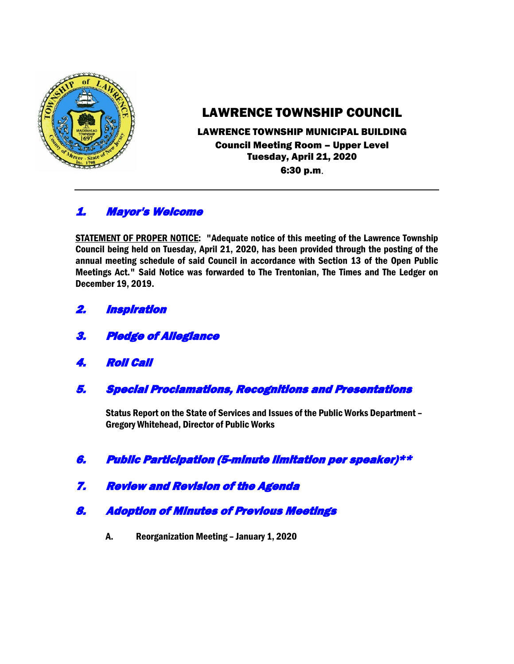

# LAWRENCE TOWNSHIP COUNCIL

## LAWRENCE TOWNSHIP MUNICIPAL BUILDING Council Meeting Room – Upper Level Tuesday, April 21, 2020 6:30 p.m.

# 1. Mayor's Welcome

STATEMENT OF PROPER NOTICE: "Adequate notice of this meeting of the Lawrence Township Council being held on Tuesday, April 21, 2020, has been provided through the posting of the annual meeting schedule of said Council in accordance with Section 13 of the Open Public Meetings Act." Said Notice was forwarded to The Trentonian, The Times and The Ledger on December 19, 2019.

- 2. Inspiration
- 3. Pledge of Allegiance
- 4. Roll Call
- 5. Special Proclamations, Recognitions and Presentations

Status Report on the State of Services and Issues of the Public Works Department – Gregory Whitehead, Director of Public Works

- 6. Public Participation (5-minute limitation per speaker)\*\*
- 7. Review and Revision of the Agenda
- 8. Adoption of Minutes of Previous Meetings
	- A. Reorganization Meeting January 1, 2020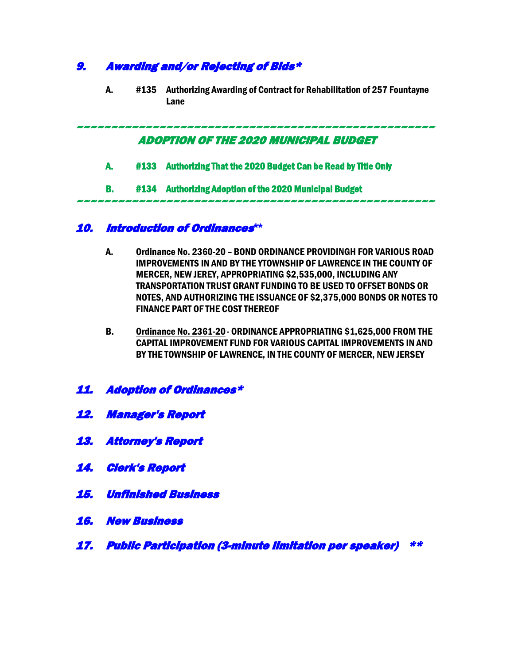## 9. Awarding and/or Rejecting of Bids\*

A. #135 Authorizing Awarding of Contract for Rehabilitation of 257 Fountayne Lane

~~~~~~~~~~~~~~~~~~~~~~~~~~~~~~~~~~~~~~~~~~~~~~~~~~~~

## ADOPTION OF THE 2020 MUNICIPAL BUDGET

A. #133 Authorizing That the 2020 Budget Can be Read by Title Only

~~~~~~~~~~~~~~~~~~~~~~~~~~~~~~~~~~~~~~~~~~~~~~~~~~~~

B. #134 Authorizing Adoption of the 2020 Municipal Budget

## 10. Introduction of Ordinances**\*\***

- A. Ordinance No. 2360-20 BOND ORDINANCE PROVIDINGH FOR VARIOUS ROAD IMPROVEMENTS IN AND BY THE YTOWNSHIP OF LAWRENCE IN THE COUNTY OF MERCER, NEW JEREY, APPROPRIATING \$2,535,000, INCLUDING ANY TRANSPORTATION TRUST GRANT FUNDING TO BE USED TO OFFSET BONDS OR NOTES, AND AUTHORIZING THE ISSUANCE OF \$2,375,000 BONDS OR NOTES TO FINANCE PART OF THE COST THEREOF
- B. Ordinance No. 2361-20- ORDINANCE APPROPRIATING \$1,625,000 FROM THE CAPITAL IMPROVEMENT FUND FOR VARIOUS CAPITAL IMPROVEMENTS IN AND BY THE TOWNSHIP OF LAWRENCE, IN THE COUNTY OF MERCER, NEW JERSEY
- 11. Adoption of Ordinances\*
- 12. Manager's Report
- 13. Attorney's Report
- 14. Clerk's Report
- 15. Unfinished Business
- 16. New Business
- 17. Public Participation (3-minute limitation per speaker) \*\*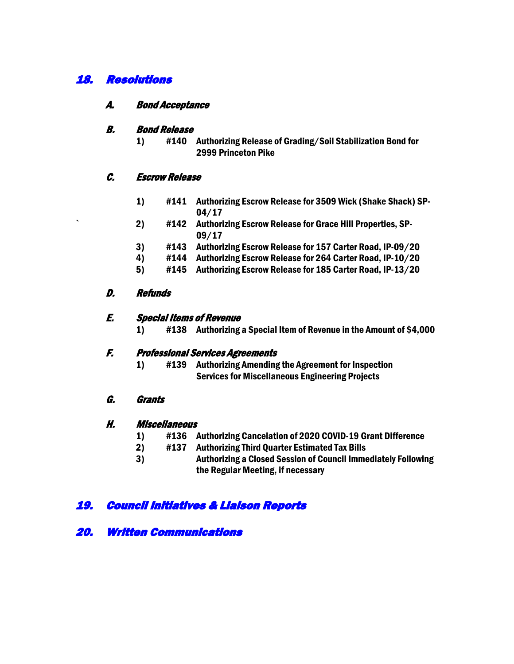## 18. Resolutions

#### A. Bond Acceptance

#### B. Bond Release

 1) #140 Authorizing Release of Grading/Soil Stabilization Bond for 2999 Princeton Pike

#### C. Escrow Release

- 1) #141 Authorizing Escrow Release for 3509 Wick (Shake Shack) SP-04/17
- ` 2) #142 Authorizing Escrow Release for Grace Hill Properties, SP-09/17
- 3) #143 Authorizing Escrow Release for 157 Carter Road, IP-09/20
- 4) #144 Authorizing Escrow Release for 264 Carter Road, IP-10/20
- 5) #145 Authorizing Escrow Release for 185 Carter Road, IP-13/20

#### D. Refunds

#### E. Special Items of Revenue

1) #138 Authorizing a Special Item of Revenue in the Amount of \$4,000

#### F. Professional Services Agreements

1) #139 Authorizing Amending the Agreement for Inspection Services for Miscellaneous Engineering Projects

#### G. Grants

#### H. Miscellaneous

- 1) #136 Authorizing Cancelation of 2020 COVID-19 Grant Difference
- 2) #137 Authorizing Third Quarter Estimated Tax Bills
- 3) Authorizing a Closed Session of Council Immediately Following the Regular Meeting, if necessary

## 19. Council Initiatives & Liaison Reports

## 20. Written Communications